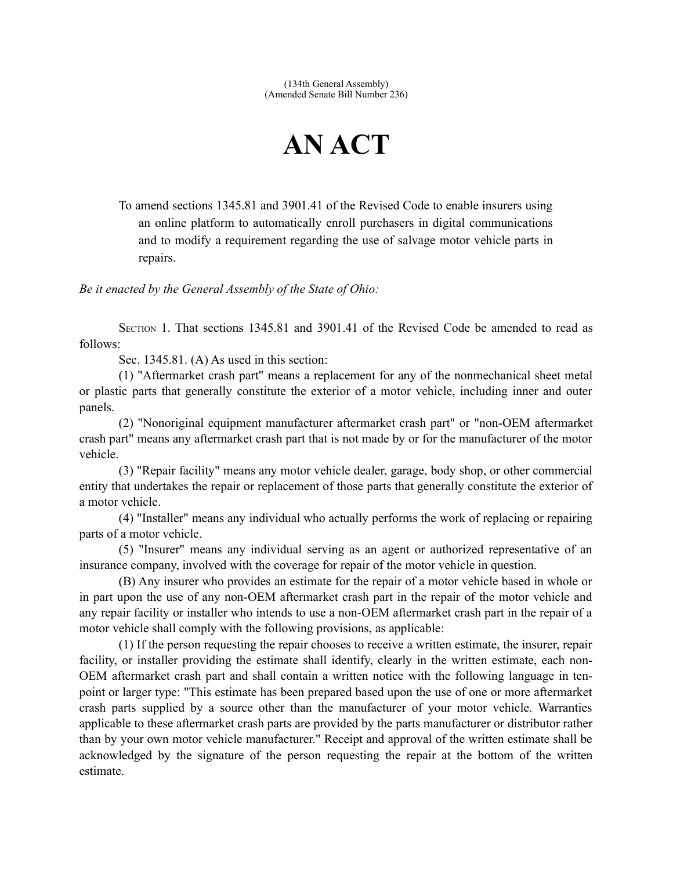## **AN ACT**

To amend sections 1345.81 and 3901.41 of the Revised Code to enable insurers using an online platform to automatically enroll purchasers in digital communications and to modify a requirement regarding the use of salvage motor vehicle parts in repairs.

*Be it enacted by the General Assembly of the State of Ohio:*

SECTION 1. That sections 1345.81 and 3901.41 of the Revised Code be amended to read as follows:

Sec. 1345.81. (A) As used in this section:

(1) "Aftermarket crash part" means a replacement for any of the nonmechanical sheet metal or plastic parts that generally constitute the exterior of a motor vehicle, including inner and outer panels.

(2) "Nonoriginal equipment manufacturer aftermarket crash part" or "non-OEM aftermarket crash part" means any aftermarket crash part that is not made by or for the manufacturer of the motor vehicle.

(3) "Repair facility" means any motor vehicle dealer, garage, body shop, or other commercial entity that undertakes the repair or replacement of those parts that generally constitute the exterior of a motor vehicle.

(4) "Installer" means any individual who actually performs the work of replacing or repairing parts of a motor vehicle.

(5) "Insurer" means any individual serving as an agent or authorized representative of an insurance company, involved with the coverage for repair of the motor vehicle in question.

(B) Any insurer who provides an estimate for the repair of a motor vehicle based in whole or in part upon the use of any non-OEM aftermarket crash part in the repair of the motor vehicle and any repair facility or installer who intends to use a non-OEM aftermarket crash part in the repair of a motor vehicle shall comply with the following provisions, as applicable:

(1) If the person requesting the repair chooses to receive a written estimate, the insurer, repair facility, or installer providing the estimate shall identify, clearly in the written estimate, each non-OEM aftermarket crash part and shall contain a written notice with the following language in tenpoint or larger type: "This estimate has been prepared based upon the use of one or more aftermarket crash parts supplied by a source other than the manufacturer of your motor vehicle. Warranties applicable to these aftermarket crash parts are provided by the parts manufacturer or distributor rather than by your own motor vehicle manufacturer." Receipt and approval of the written estimate shall be acknowledged by the signature of the person requesting the repair at the bottom of the written estimate.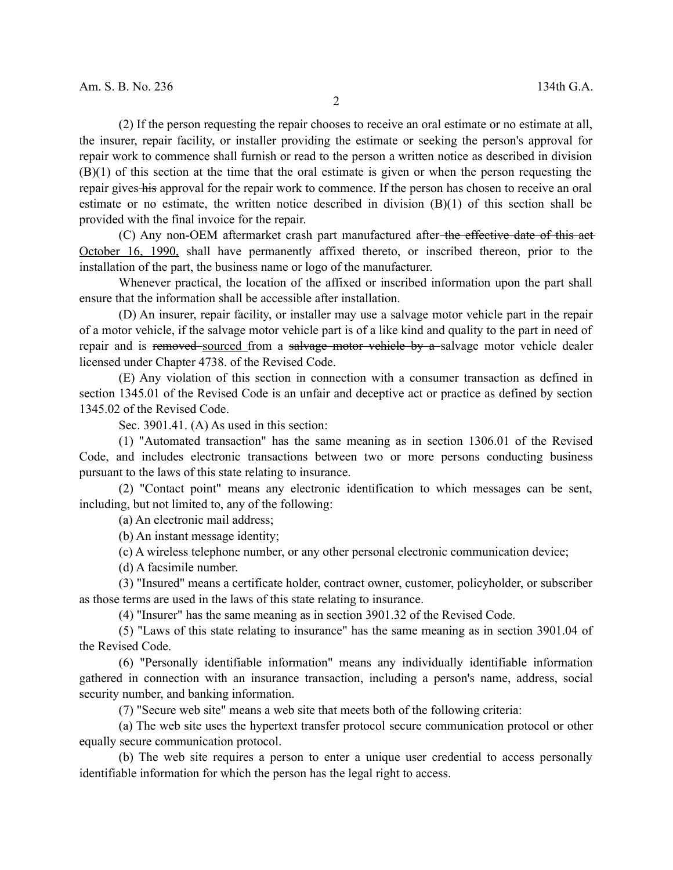(2) If the person requesting the repair chooses to receive an oral estimate or no estimate at all, the insurer, repair facility, or installer providing the estimate or seeking the person's approval for repair work to commence shall furnish or read to the person a written notice as described in division (B)(1) of this section at the time that the oral estimate is given or when the person requesting the repair gives his approval for the repair work to commence. If the person has chosen to receive an oral estimate or no estimate, the written notice described in division (B)(1) of this section shall be provided with the final invoice for the repair.

(C) Any non-OEM aftermarket crash part manufactured after-the effective date of this act-October 16, 1990, shall have permanently affixed thereto, or inscribed thereon, prior to the installation of the part, the business name or logo of the manufacturer.

Whenever practical, the location of the affixed or inscribed information upon the part shall ensure that the information shall be accessible after installation.

(D) An insurer, repair facility, or installer may use a salvage motor vehicle part in the repair of a motor vehicle, if the salvage motor vehicle part is of a like kind and quality to the part in need of repair and is removed sourced from a salvage motor vehicle by a salvage motor vehicle dealer licensed under Chapter 4738. of the Revised Code.

(E) Any violation of this section in connection with a consumer transaction as defined in section 1345.01 of the Revised Code is an unfair and deceptive act or practice as defined by section 1345.02 of the Revised Code.

Sec. 3901.41. (A) As used in this section:

(1) "Automated transaction" has the same meaning as in section 1306.01 of the Revised Code, and includes electronic transactions between two or more persons conducting business pursuant to the laws of this state relating to insurance.

(2) "Contact point" means any electronic identification to which messages can be sent, including, but not limited to, any of the following:

(a) An electronic mail address;

(b) An instant message identity;

(c) A wireless telephone number, or any other personal electronic communication device;

(d) A facsimile number.

(3) "Insured" means a certificate holder, contract owner, customer, policyholder, or subscriber as those terms are used in the laws of this state relating to insurance.

(4) "Insurer" has the same meaning as in section 3901.32 of the Revised Code.

(5) "Laws of this state relating to insurance" has the same meaning as in section 3901.04 of the Revised Code.

(6) "Personally identifiable information" means any individually identifiable information gathered in connection with an insurance transaction, including a person's name, address, social security number, and banking information.

(7) "Secure web site" means a web site that meets both of the following criteria:

(a) The web site uses the hypertext transfer protocol secure communication protocol or other equally secure communication protocol.

(b) The web site requires a person to enter a unique user credential to access personally identifiable information for which the person has the legal right to access.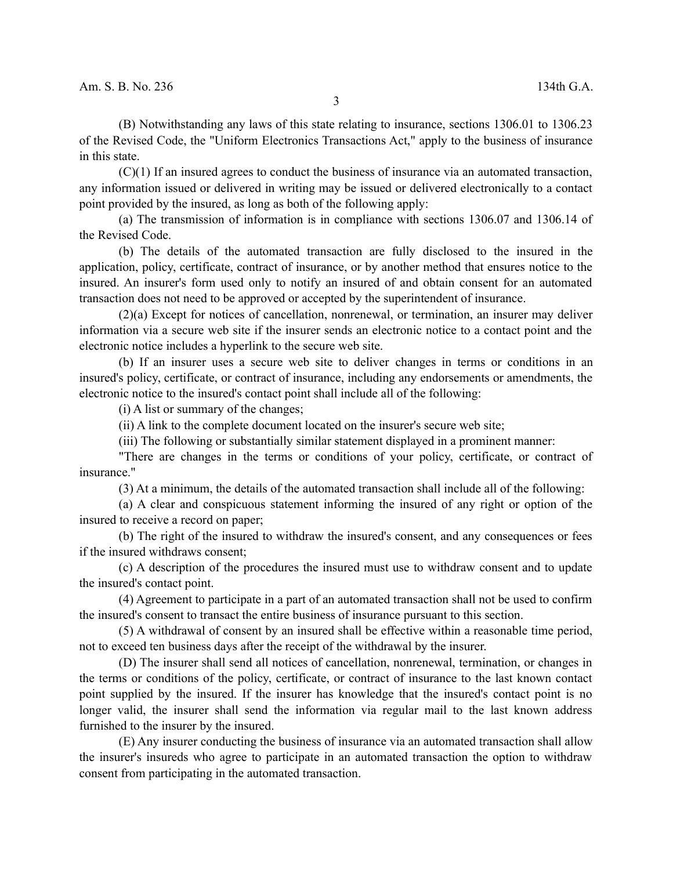(B) Notwithstanding any laws of this state relating to insurance, sections 1306.01 to 1306.23 of the Revised Code, the "Uniform Electronics Transactions Act," apply to the business of insurance in this state.

(C)(1) If an insured agrees to conduct the business of insurance via an automated transaction, any information issued or delivered in writing may be issued or delivered electronically to a contact point provided by the insured, as long as both of the following apply:

(a) The transmission of information is in compliance with sections 1306.07 and 1306.14 of the Revised Code.

(b) The details of the automated transaction are fully disclosed to the insured in the application, policy, certificate, contract of insurance, or by another method that ensures notice to the insured. An insurer's form used only to notify an insured of and obtain consent for an automated transaction does not need to be approved or accepted by the superintendent of insurance.

(2)(a) Except for notices of cancellation, nonrenewal, or termination, an insurer may deliver information via a secure web site if the insurer sends an electronic notice to a contact point and the electronic notice includes a hyperlink to the secure web site.

(b) If an insurer uses a secure web site to deliver changes in terms or conditions in an insured's policy, certificate, or contract of insurance, including any endorsements or amendments, the electronic notice to the insured's contact point shall include all of the following:

(i) A list or summary of the changes;

(ii) A link to the complete document located on the insurer's secure web site;

(iii) The following or substantially similar statement displayed in a prominent manner:

"There are changes in the terms or conditions of your policy, certificate, or contract of insurance."

(3) At a minimum, the details of the automated transaction shall include all of the following:

(a) A clear and conspicuous statement informing the insured of any right or option of the insured to receive a record on paper;

(b) The right of the insured to withdraw the insured's consent, and any consequences or fees if the insured withdraws consent;

(c) A description of the procedures the insured must use to withdraw consent and to update the insured's contact point.

(4) Agreement to participate in a part of an automated transaction shall not be used to confirm the insured's consent to transact the entire business of insurance pursuant to this section.

(5) A withdrawal of consent by an insured shall be effective within a reasonable time period, not to exceed ten business days after the receipt of the withdrawal by the insurer.

(D) The insurer shall send all notices of cancellation, nonrenewal, termination, or changes in the terms or conditions of the policy, certificate, or contract of insurance to the last known contact point supplied by the insured. If the insurer has knowledge that the insured's contact point is no longer valid, the insurer shall send the information via regular mail to the last known address furnished to the insurer by the insured.

(E) Any insurer conducting the business of insurance via an automated transaction shall allow the insurer's insureds who agree to participate in an automated transaction the option to withdraw consent from participating in the automated transaction.

3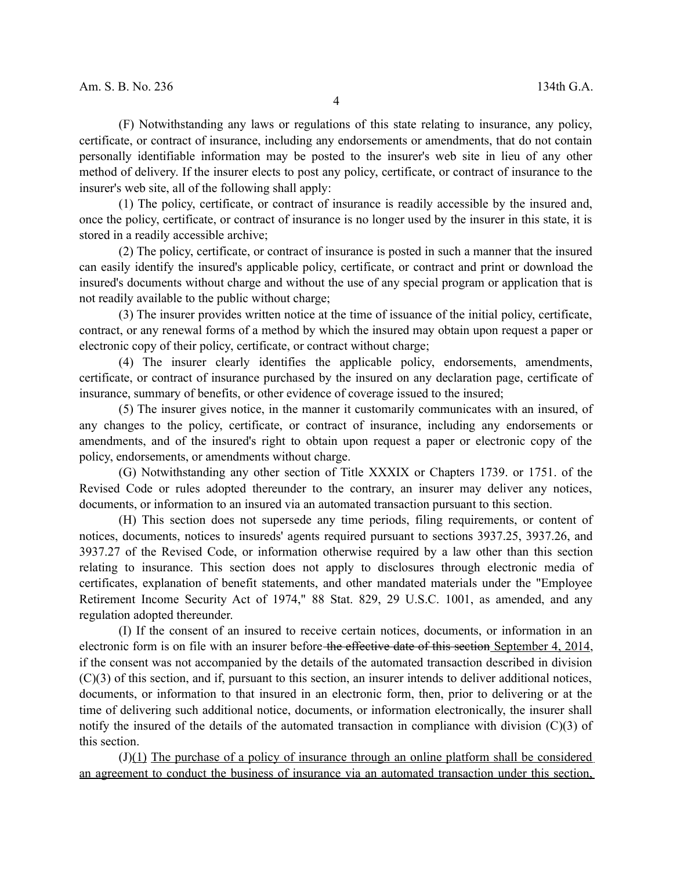(F) Notwithstanding any laws or regulations of this state relating to insurance, any policy, certificate, or contract of insurance, including any endorsements or amendments, that do not contain personally identifiable information may be posted to the insurer's web site in lieu of any other method of delivery. If the insurer elects to post any policy, certificate, or contract of insurance to the insurer's web site, all of the following shall apply:

(1) The policy, certificate, or contract of insurance is readily accessible by the insured and, once the policy, certificate, or contract of insurance is no longer used by the insurer in this state, it is stored in a readily accessible archive;

(2) The policy, certificate, or contract of insurance is posted in such a manner that the insured can easily identify the insured's applicable policy, certificate, or contract and print or download the insured's documents without charge and without the use of any special program or application that is not readily available to the public without charge;

(3) The insurer provides written notice at the time of issuance of the initial policy, certificate, contract, or any renewal forms of a method by which the insured may obtain upon request a paper or electronic copy of their policy, certificate, or contract without charge;

(4) The insurer clearly identifies the applicable policy, endorsements, amendments, certificate, or contract of insurance purchased by the insured on any declaration page, certificate of insurance, summary of benefits, or other evidence of coverage issued to the insured;

(5) The insurer gives notice, in the manner it customarily communicates with an insured, of any changes to the policy, certificate, or contract of insurance, including any endorsements or amendments, and of the insured's right to obtain upon request a paper or electronic copy of the policy, endorsements, or amendments without charge.

(G) Notwithstanding any other section of Title XXXIX or Chapters 1739. or 1751. of the Revised Code or rules adopted thereunder to the contrary, an insurer may deliver any notices, documents, or information to an insured via an automated transaction pursuant to this section.

(H) This section does not supersede any time periods, filing requirements, or content of notices, documents, notices to insureds' agents required pursuant to sections 3937.25, 3937.26, and 3937.27 of the Revised Code, or information otherwise required by a law other than this section relating to insurance. This section does not apply to disclosures through electronic media of certificates, explanation of benefit statements, and other mandated materials under the "Employee Retirement Income Security Act of 1974," 88 Stat. 829, 29 U.S.C. 1001, as amended, and any regulation adopted thereunder.

(I) If the consent of an insured to receive certain notices, documents, or information in an electronic form is on file with an insurer before the effective date of this section September 4, 2014, if the consent was not accompanied by the details of the automated transaction described in division (C)(3) of this section, and if, pursuant to this section, an insurer intends to deliver additional notices, documents, or information to that insured in an electronic form, then, prior to delivering or at the time of delivering such additional notice, documents, or information electronically, the insurer shall notify the insured of the details of the automated transaction in compliance with division (C)(3) of this section.

(J)(1) The purchase of a policy of insurance through an online platform shall be considered an agreement to conduct the business of insurance via an automated transaction under this section,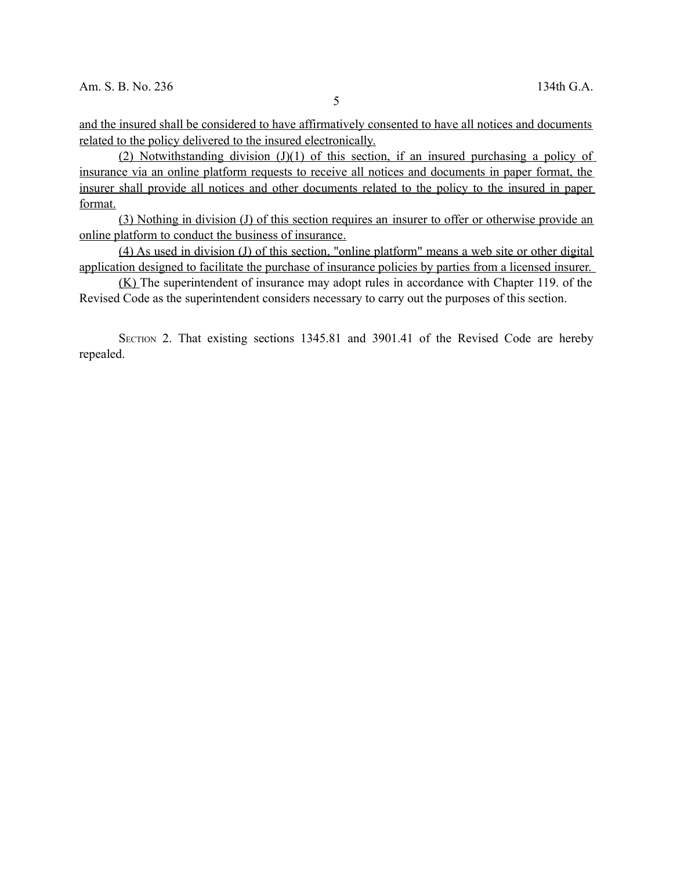and the insured shall be considered to have affirmatively consented to have all notices and documents related to the policy delivered to the insured electronically.

(2) Notwithstanding division  $(J)(1)$  of this section, if an insured purchasing a policy of insurance via an online platform requests to receive all notices and documents in paper format, the insurer shall provide all notices and other documents related to the policy to the insured in paper format.

 (3) Nothing in division (J) of this section requires an insurer to offer or otherwise provide an online platform to conduct the business of insurance.

(4) As used in division (J) of this section, "online platform" means a web site or other digital application designed to facilitate the purchase of insurance policies by parties from a licensed insurer.

(K) The superintendent of insurance may adopt rules in accordance with Chapter 119. of the Revised Code as the superintendent considers necessary to carry out the purposes of this section.

SECTION 2. That existing sections 1345.81 and 3901.41 of the Revised Code are hereby repealed.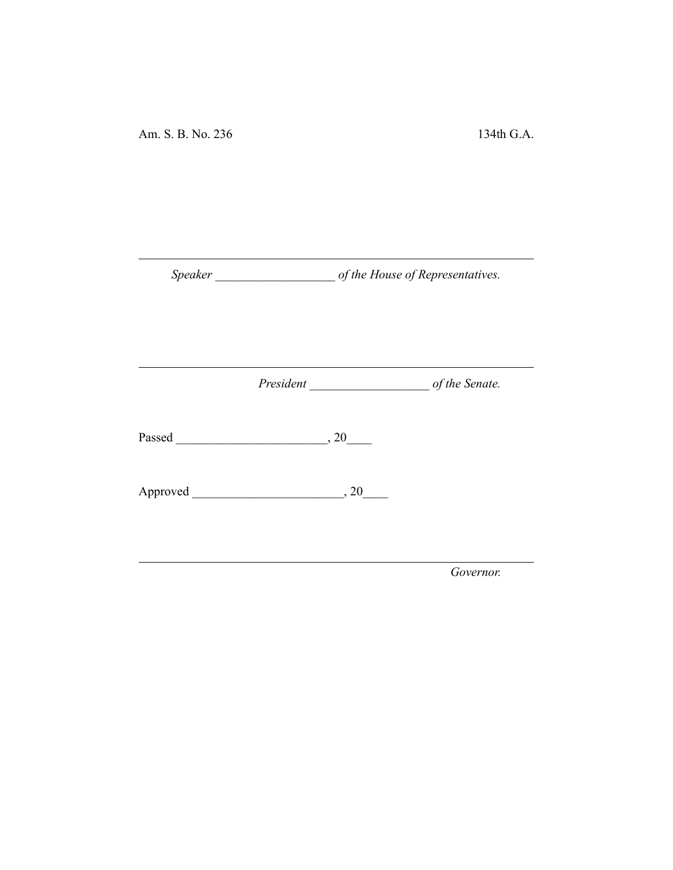Am. S. B. No. 236 134th G.A.

*Speaker \_\_\_\_\_\_\_\_\_\_\_\_\_\_\_\_\_\_\_ of the House of Representatives.*

*President \_\_\_\_\_\_\_\_\_\_\_\_\_\_\_\_\_\_\_ of the Senate.*

Passed \_\_\_\_\_\_\_\_\_\_\_\_\_\_\_\_\_\_\_\_\_\_\_\_, 20\_\_\_\_

Approved \_\_\_\_\_\_\_\_\_\_\_\_\_\_\_\_\_\_\_\_\_\_\_\_, 20\_\_\_\_

*Governor.*